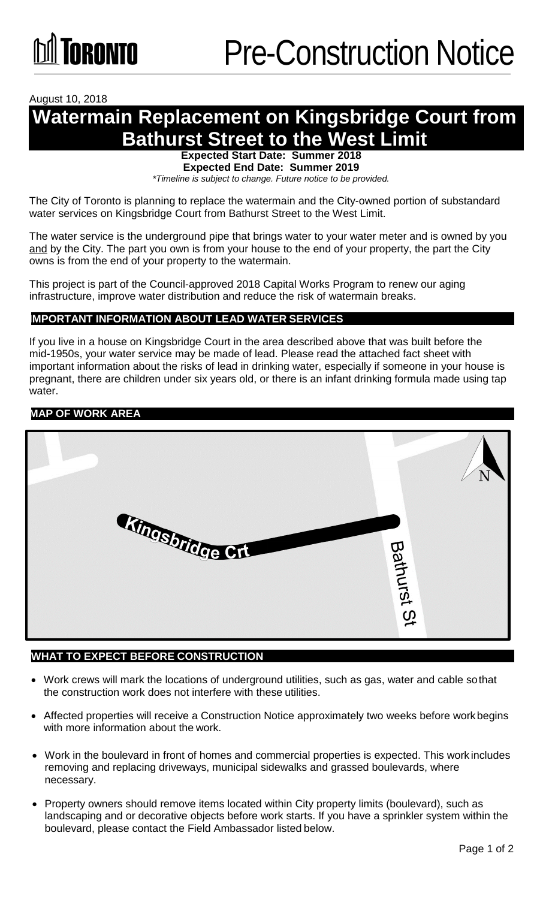#### August 10, 2018

## **Watermain Replacement on Kingsbridge Court from Bathurst Street to the West Limit**

**Expected Start Date: Summer 2018**

**Expected End Date: Summer 2019**

*\*Timeline is subject to change. Future notice to be provided.*

The City of Toronto is planning to replace the watermain and the City-owned portion of substandard water services on Kingsbridge Court from Bathurst Street to the West Limit.

The water service is the underground pipe that brings water to your water meter and is owned by you and by the City. The part you own is from your house to the end of your property, the part the City owns is from the end of your property to the watermain.

This project is part of the Council-approved 2018 Capital Works Program to renew our aging infrastructure, improve water distribution and reduce the risk of watermain breaks.

### **IMPORTANT INFORMATION ABOUT LEAD WATER SERVICES**

If you live in a house on Kingsbridge Court in the area described above that was built before the mid-1950s, your water service may be made of lead. Please read the attached fact sheet with important information about the risks of lead in drinking water, especially if someone in your house is pregnant, there are children under six years old, or there is an infant drinking formula made using tap water.

#### **MAP OF WORK AREA**



#### **WHAT TO EXPECT BEFORE CONSTRUCTION**

- Work crews will mark the locations of underground utilities, such as gas, water and cable sothat the construction work does not interfere with these utilities.
- Affected properties will receive a Construction Notice approximately two weeks before workbegins with more information about the work.
- Work in the boulevard in front of homes and commercial properties is expected. This work includes removing and replacing driveways, municipal sidewalks and grassed boulevards, where necessary.
- Property owners should remove items located within City property limits (boulevard), such as landscaping and or decorative objects before work starts. If you have a sprinkler system within the boulevard, please contact the Field Ambassador listed below.